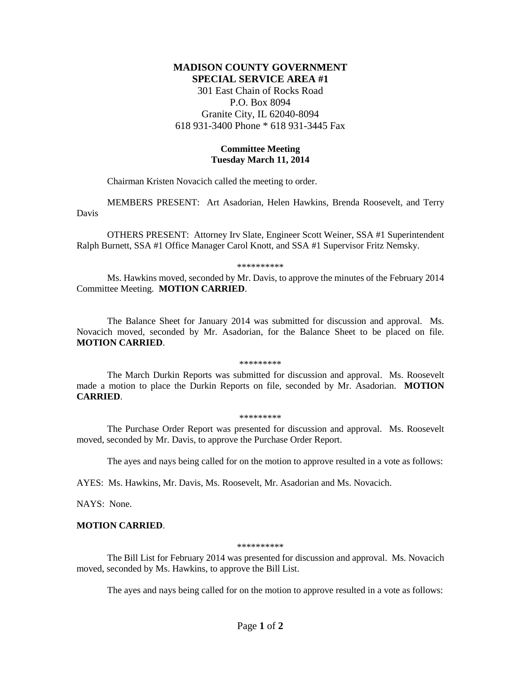## **MADISON COUNTY GOVERNMENT SPECIAL SERVICE AREA #1**

301 East Chain of Rocks Road P.O. Box 8094 Granite City, IL 62040-8094 618 931-3400 Phone \* 618 931-3445 Fax

## **Committee Meeting Tuesday March 11, 2014**

Chairman Kristen Novacich called the meeting to order.

MEMBERS PRESENT: Art Asadorian, Helen Hawkins, Brenda Roosevelt, and Terry Davis

OTHERS PRESENT: Attorney Irv Slate, Engineer Scott Weiner, SSA #1 Superintendent Ralph Burnett, SSA #1 Office Manager Carol Knott, and SSA #1 Supervisor Fritz Nemsky.

\*\*\*\*\*\*\*\*\*\*

Ms. Hawkins moved, seconded by Mr. Davis, to approve the minutes of the February 2014 Committee Meeting. **MOTION CARRIED**.

The Balance Sheet for January 2014 was submitted for discussion and approval. Ms. Novacich moved, seconded by Mr. Asadorian, for the Balance Sheet to be placed on file. **MOTION CARRIED**.

\*\*\*\*\*\*\*\*\*

The March Durkin Reports was submitted for discussion and approval. Ms. Roosevelt made a motion to place the Durkin Reports on file, seconded by Mr. Asadorian. **MOTION CARRIED**.

\*\*\*\*\*\*\*\*\*

The Purchase Order Report was presented for discussion and approval. Ms. Roosevelt moved, seconded by Mr. Davis, to approve the Purchase Order Report.

The ayes and nays being called for on the motion to approve resulted in a vote as follows:

AYES: Ms. Hawkins, Mr. Davis, Ms. Roosevelt, Mr. Asadorian and Ms. Novacich.

NAYS: None.

## **MOTION CARRIED**.

\*\*\*\*\*\*\*\*\*\*

The Bill List for February 2014 was presented for discussion and approval. Ms. Novacich moved, seconded by Ms. Hawkins, to approve the Bill List.

The ayes and nays being called for on the motion to approve resulted in a vote as follows: